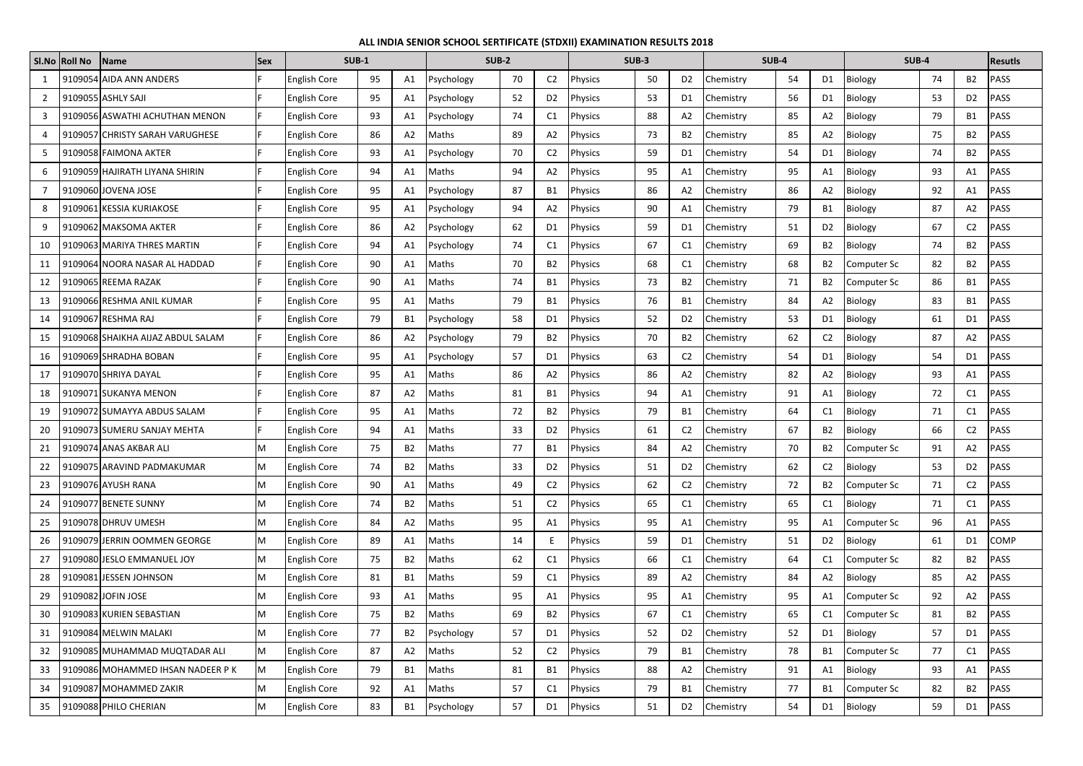|                | SI.No Roll No | Name                              | <b>Sex</b> | <b>SUB-1</b>        |    |           | <b>SUB-2</b> |    | SUB-3          |                |    | <b>SUB-4</b>   |                  |    | <b>SUB-4</b>   |                    |    | <b>Resutls</b> |             |
|----------------|---------------|-----------------------------------|------------|---------------------|----|-----------|--------------|----|----------------|----------------|----|----------------|------------------|----|----------------|--------------------|----|----------------|-------------|
|                |               | 9109054 AIDA ANN ANDERS           |            | <b>English Core</b> | 95 | A1        | Psychology   | 70 | C <sub>2</sub> | Physics        | 50 | D <sub>2</sub> | Chemistry        | 54 | D <sub>1</sub> | <b>Biology</b>     | 74 | <b>B2</b>      | PASS        |
| $\overline{2}$ |               | 9109055 ASHLY SAJI                |            | <b>English Core</b> | 95 | A1        | Psychology   | 52 | D <sub>2</sub> | Physics        | 53 | D1             | <b>Chemistry</b> | 56 | D1             | <b>Biology</b>     | 53 | D <sub>2</sub> | PASS        |
| 3              |               | 9109056 ASWATHI ACHUTHAN MENON    |            | <b>English Core</b> | 93 | A1        | Psychology   | 74 | C1             | Physics        | 88 | A <sub>2</sub> | <b>Chemistry</b> | 85 | A2             | <b>Biology</b>     | 79 | <b>B1</b>      | PASS        |
| 4              |               | 9109057 CHRISTY SARAH VARUGHESE   |            | <b>English Core</b> | 86 | A2        | Maths        | 89 | A2             | Physics        | 73 | <b>B2</b>      | Chemistry        | 85 | A2             | Biology            | 75 | <b>B2</b>      | PASS        |
| 5              |               | 9109058 FAIMONA AKTER             |            | <b>English Core</b> | 93 | A1        | Psychology   | 70 | C <sub>2</sub> | Physics        | 59 | D <sub>1</sub> | Chemistry        | 54 | D1             | <b>Biology</b>     | 74 | <b>B2</b>      | PASS        |
| 6              |               | 9109059 HAJIRATH LIYANA SHIRIN    |            | <b>English Core</b> | 94 | A1        | Maths        | 94 | A <sub>2</sub> | Physics        | 95 | A1             | <b>Chemistry</b> | 95 | A1             | <b>Biology</b>     | 93 | A1             | PASS        |
|                |               | 9109060 JOVENA JOSE               |            | <b>English Core</b> | 95 | A1        | Psychology   | 87 | <b>B1</b>      | Physics        | 86 | A <sub>2</sub> | Chemistry        | 86 | A2             | <b>Biology</b>     | 92 | Α1             | PASS        |
| 8              |               | 9109061 KESSIA KURIAKOSE          |            | <b>English Core</b> | 95 | A1        | Psychology   | 94 | A2             | Physics        | 90 | A1             | <b>Chemistry</b> | 79 | B1             | Biology            | 87 | A2             | PASS        |
| 9              |               | 9109062 MAKSOMA AKTER             |            | <b>English Core</b> | 86 | A2        | Psychology   | 62 | D <sub>1</sub> | Physics        | 59 | D <sub>1</sub> | <b>Chemistry</b> | 51 | D <sub>2</sub> | <b>Biology</b>     | 67 | C <sub>2</sub> | PASS        |
| 10             |               | 9109063 MARIYA THRES MARTIN       |            | <b>English Core</b> | 94 | A1        | Psychology   | 74 | C <sub>1</sub> | Physics        | 67 | C <sub>1</sub> | Chemistry        | 69 | B2             | <b>Biology</b>     | 74 | <b>B2</b>      | PASS        |
| 11             |               | 9109064 NOORA NASAR AL HADDAD     |            | <b>English Core</b> | 90 | A1        | Maths        | 70 | <b>B2</b>      | Physics        | 68 | C1             | Chemistry        | 68 | B2             | Computer Sc        | 82 | B <sub>2</sub> | <b>PASS</b> |
| 12             |               | 9109065 REEMA RAZAK               |            | <b>English Core</b> | 90 | A1        | Maths        | 74 | <b>B1</b>      | Physics        | 73 | <b>B2</b>      | <b>Chemistry</b> | 71 | B2             | <b>Computer Sc</b> | 86 | B1             | PASS        |
| 13             |               | 9109066 RESHMA ANIL KUMAR         |            | <b>English Core</b> | 95 | A1        | Maths        | 79 | <b>B1</b>      | Physics        | 76 | <b>B1</b>      | Chemistry        | 84 | A2             | <b>Biology</b>     | 83 | <b>B1</b>      | PASS        |
| 14             |               | 9109067 RESHMA RAJ                |            | <b>English Core</b> | 79 | B1        | Psychology   | 58 | D <sub>1</sub> | Physics        | 52 | D <sub>2</sub> | Chemistry        | 53 | D1             | <b>Biology</b>     | 61 | D <sub>1</sub> | PASS        |
| 15             |               | 9109068 SHAIKHA AIJAZ ABDUL SALAM |            | <b>English Core</b> | 86 | A2        | Psychology   | 79 | <b>B2</b>      | Physics        | 70 | B <sub>2</sub> | <b>Chemistry</b> | 62 | C <sub>2</sub> | <b>Biology</b>     | 87 | A <sub>2</sub> | PASS        |
| 16             |               | 9109069 SHRADHA BOBAN             |            | <b>English Core</b> | 95 | A1        | Psychology   | 57 | D <sub>1</sub> | <b>Physics</b> | 63 | C <sub>2</sub> | <b>Chemistry</b> | 54 | D1             | <b>Biology</b>     | 54 | D1             | PASS        |
| 17             |               | 9109070 SHRIYA DAYAL              |            | <b>English Core</b> | 95 | A1        | Maths        | 86 | A2             | Physics        | 86 | A2             | Chemistry        | 82 | A2             | Biology            | 93 | A1             | PASS        |
| 18             |               | 9109071 SUKANYA MENON             |            | <b>English Core</b> | 87 | A2        | Maths        | 81 | <b>B1</b>      | Physics        | 94 | A1             | Chemistry        | 91 | Α1             | <b>Biology</b>     | 72 | C <sub>1</sub> | PASS        |
| 19             |               | 9109072 SUMAYYA ABDUS SALAM       |            | <b>English Core</b> | 95 | A1        | Maths        | 72 | <b>B2</b>      | Physics        | 79 | <b>B1</b>      | Chemistry        | 64 | C1             | <b>Biology</b>     | 71 | C1             | PASS        |
| 20             |               | 9109073 SUMERU SANJAY MEHTA       |            | <b>English Core</b> | 94 | A1        | Maths        | 33 | D <sub>2</sub> | Physics        | 61 | C <sub>2</sub> | Chemistry        | 67 | B2             | <b>Biology</b>     | 66 | C <sub>2</sub> | PASS        |
| 21             |               | 9109074 ANAS AKBAR ALI            | M          | <b>English Core</b> | 75 | B2        | Maths        | 77 | <b>B1</b>      | Physics        | 84 | A2             | Chemistry        | 70 | B <sub>2</sub> | Computer Sc        | 91 | A <sub>2</sub> | PASS        |
|                |               | 9109075 ARAVIND PADMAKUMAR        | M          | <b>English Core</b> | 74 | B2        | Maths        | 33 | D <sub>2</sub> | Physics        | 51 | D <sub>2</sub> | Chemistry        | 62 | C <sub>2</sub> | Biology            | 53 | D <sub>2</sub> | PASS        |
| 23             |               | 9109076 AYUSH RANA                | M          | <b>English Core</b> | 90 | A1        | Maths        | 49 | C <sub>2</sub> | Physics        | 62 | C <sub>2</sub> | Chemistry        | 72 | <b>B2</b>      | Computer Sc        | 71 | C <sub>2</sub> | PASS        |
| 24             |               | 9109077 BENETE SUNNY              | M          | <b>English Core</b> | 74 | <b>B2</b> | Maths        | 51 | C <sub>2</sub> | <b>Physics</b> | 65 | C1             | Chemistry        | 65 | C1             | Biology            | 71 | C <sub>1</sub> | PASS        |
| 25             |               | 9109078 DHRUV UMESH               | M          | <b>English Core</b> | 84 | A2        | Maths        | 95 | A1             | Physics        | 95 | A1             | Chemistry        | 95 | A1             | Computer Sc        | 96 | A1             | PASS        |
| 26             |               | 9109079 JERRIN OOMMEN GEORGE      | M          | <b>English Core</b> | 89 | A1        | Maths        | 14 | E              | Physics        | 59 | D1             | Chemistry        | 51 | D <sub>2</sub> | <b>Biology</b>     | 61 | D <sub>1</sub> | <b>COMP</b> |
| 27             |               | 9109080 JESLO EMMANUEL JOY        | M          | <b>English Core</b> | 75 | <b>B2</b> | Maths        | 62 | C1             | Physics        | 66 | C1             | Chemistry        | 64 | C1             | Computer Sc        | 82 | <b>B2</b>      | PASS        |
| 28             |               | 9109081 JESSEN JOHNSON            | M          | <b>English Core</b> | 81 | <b>B1</b> | Maths        | 59 | C1             | Physics        | 89 | A2             | Chemistry        | 84 | A2             | Biology            | 85 | A2             | PASS        |
| 29             |               | 9109082 JOFIN JOSE                | M          | <b>English Core</b> | 93 | A1        | Maths        | 95 | A1             | Physics        | 95 | A1             | Chemistry        | 95 | A1             | Computer Sc        | 92 | A2             | PASS        |
| 30             |               | 9109083 KURIEN SEBASTIAN          | M          | <b>English Core</b> | 75 | B2        | Maths        | 69 | <b>B2</b>      | Physics        | 67 | C1             | Chemistry        | 65 | C1             | <b>Computer Sc</b> | 81 | <b>B2</b>      | PASS        |
| 31             |               | 9109084 MELWIN MALAKI             | M          | <b>English Core</b> | 77 | <b>B2</b> | Psychology   | 57 | D <sub>1</sub> | Physics        | 52 | D <sub>2</sub> | Chemistry        | 52 | D <sub>1</sub> | Biology            | 57 | D <sub>1</sub> | PASS        |
| 32             |               | 9109085 MUHAMMAD MUQTADAR ALI     | M          | <b>English Core</b> | 87 | A2        | Maths        | 52 | C <sub>2</sub> | <b>Physics</b> | 79 | <b>B1</b>      | Chemistry        | 78 | B1             | Computer Sc        | 77 | C1             | PASS        |
| 33             |               | 9109086 MOHAMMED IHSAN NADEER P K | M          | <b>English Core</b> | 79 | <b>B1</b> | Maths        | 81 | <b>B1</b>      | <b>Physics</b> | 88 | A2             | Chemistry        | 91 | A1             | Biology            | 93 | A1             | PASS        |
| 34             |               | 9109087 MOHAMMED ZAKIR            |            | <b>English Core</b> | 92 | A1        | Maths        | 57 | C1             | Physics        | 79 | <b>B1</b>      | Chemistry        | 77 | B1             | <b>Computer Sc</b> | 82 | <b>B2</b>      | PASS        |
| 35             |               | 9109088 PHILO CHERIAN             | M          | <b>English Core</b> | 83 | B1        | Psychology   | 57 | D <sub>1</sub> | Physics        | 51 | D <sub>2</sub> | Chemistry        | 54 | D1             | Biology            | 59 | D1             | PASS        |

## **ALL INDIA SENIOR SCHOOL SERTIFICATE (STDXII) EXAMINATION RESULTS 2018**